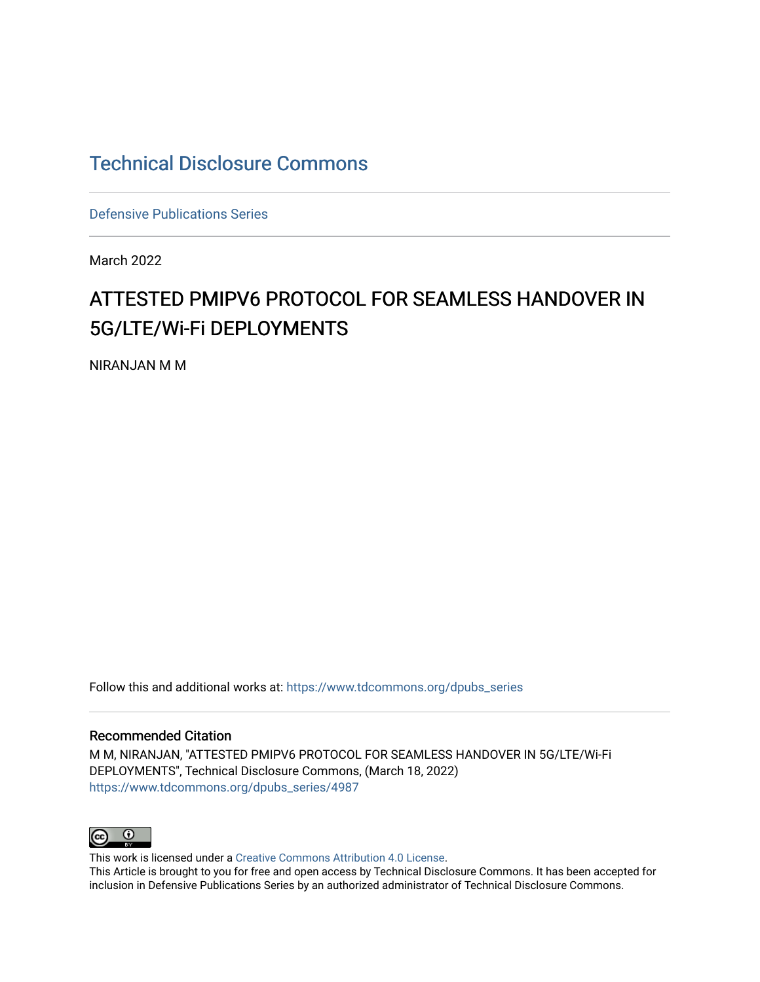# [Technical Disclosure Commons](https://www.tdcommons.org/)

[Defensive Publications Series](https://www.tdcommons.org/dpubs_series)

March 2022

# ATTESTED PMIPV6 PROTOCOL FOR SEAMLESS HANDOVER IN 5G/LTE/Wi-Fi DEPLOYMENTS

NIRANJAN M M

Follow this and additional works at: [https://www.tdcommons.org/dpubs\\_series](https://www.tdcommons.org/dpubs_series?utm_source=www.tdcommons.org%2Fdpubs_series%2F4987&utm_medium=PDF&utm_campaign=PDFCoverPages) 

#### Recommended Citation

M M, NIRANJAN, "ATTESTED PMIPV6 PROTOCOL FOR SEAMLESS HANDOVER IN 5G/LTE/Wi-Fi DEPLOYMENTS", Technical Disclosure Commons, (March 18, 2022) [https://www.tdcommons.org/dpubs\\_series/4987](https://www.tdcommons.org/dpubs_series/4987?utm_source=www.tdcommons.org%2Fdpubs_series%2F4987&utm_medium=PDF&utm_campaign=PDFCoverPages)



This work is licensed under a [Creative Commons Attribution 4.0 License](http://creativecommons.org/licenses/by/4.0/deed.en_US). This Article is brought to you for free and open access by Technical Disclosure Commons. It has been accepted for inclusion in Defensive Publications Series by an authorized administrator of Technical Disclosure Commons.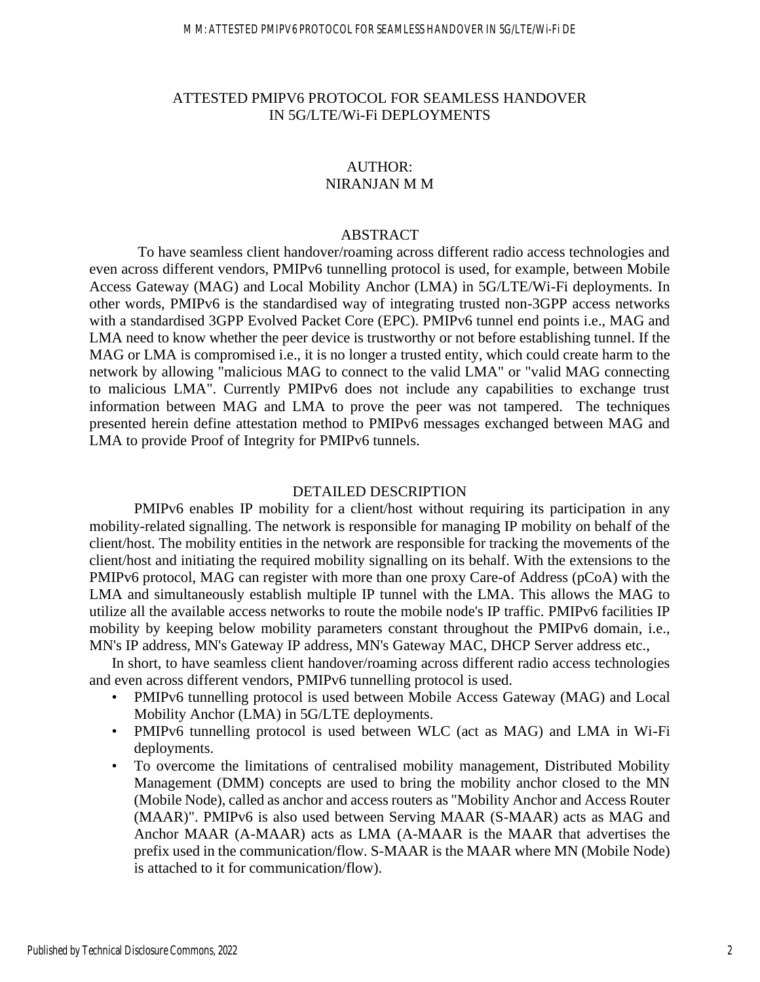## ATTESTED PMIPV6 PROTOCOL FOR SEAMLESS HANDOVER IN 5G/LTE/Wi-Fi DEPLOYMENTS

#### AUTHOR: NIRANJAN M M

## ABSTRACT

To have seamless client handover/roaming across different radio access technologies and even across different vendors, PMIPv6 tunnelling protocol is used, for example, between Mobile Access Gateway (MAG) and Local Mobility Anchor (LMA) in 5G/LTE/Wi-Fi deployments. In other words, PMIPv6 is the standardised way of integrating trusted non-3GPP access networks with a standardised 3GPP Evolved Packet Core (EPC). PMIPv6 tunnel end points i.e., MAG and LMA need to know whether the peer device is trustworthy or not before establishing tunnel. If the MAG or LMA is compromised i.e., it is no longer a trusted entity, which could create harm to the network by allowing "malicious MAG to connect to the valid LMA" or "valid MAG connecting to malicious LMA". Currently PMIPv6 does not include any capabilities to exchange trust information between MAG and LMA to prove the peer was not tampered. The techniques presented herein define attestation method to PMIPv6 messages exchanged between MAG and LMA to provide Proof of Integrity for PMIPv6 tunnels.

#### DETAILED DESCRIPTION

PMIPv6 enables IP mobility for a client/host without requiring its participation in any mobility-related signalling. The network is responsible for managing IP mobility on behalf of the client/host. The mobility entities in the network are responsible for tracking the movements of the client/host and initiating the required mobility signalling on its behalf. With the extensions to the PMIPv6 protocol, MAG can register with more than one proxy Care-of Address (pCoA) with the LMA and simultaneously establish multiple IP tunnel with the LMA. This allows the MAG to utilize all the available access networks to route the mobile node's IP traffic. PMIPv6 facilities IP mobility by keeping below mobility parameters constant throughout the PMIPv6 domain, i.e., MN's IP address, MN's Gateway IP address, MN's Gateway MAC, DHCP Server address etc.,

In short, to have seamless client handover/roaming across different radio access technologies and even across different vendors, PMIPv6 tunnelling protocol is used.

- PMIPv6 tunnelling protocol is used between Mobile Access Gateway (MAG) and Local Mobility Anchor (LMA) in 5G/LTE deployments.
- PMIPv6 tunnelling protocol is used between WLC (act as MAG) and LMA in Wi-Fi deployments.
- To overcome the limitations of centralised mobility management, Distributed Mobility Management (DMM) concepts are used to bring the mobility anchor closed to the MN (Mobile Node), called as anchor and access routers as "Mobility Anchor and Access Router (MAAR)". PMIPv6 is also used between Serving MAAR (S-MAAR) acts as MAG and Anchor MAAR (A-MAAR) acts as LMA (A-MAAR is the MAAR that advertises the prefix used in the communication/flow. S-MAAR is the MAAR where MN (Mobile Node) is attached to it for communication/flow).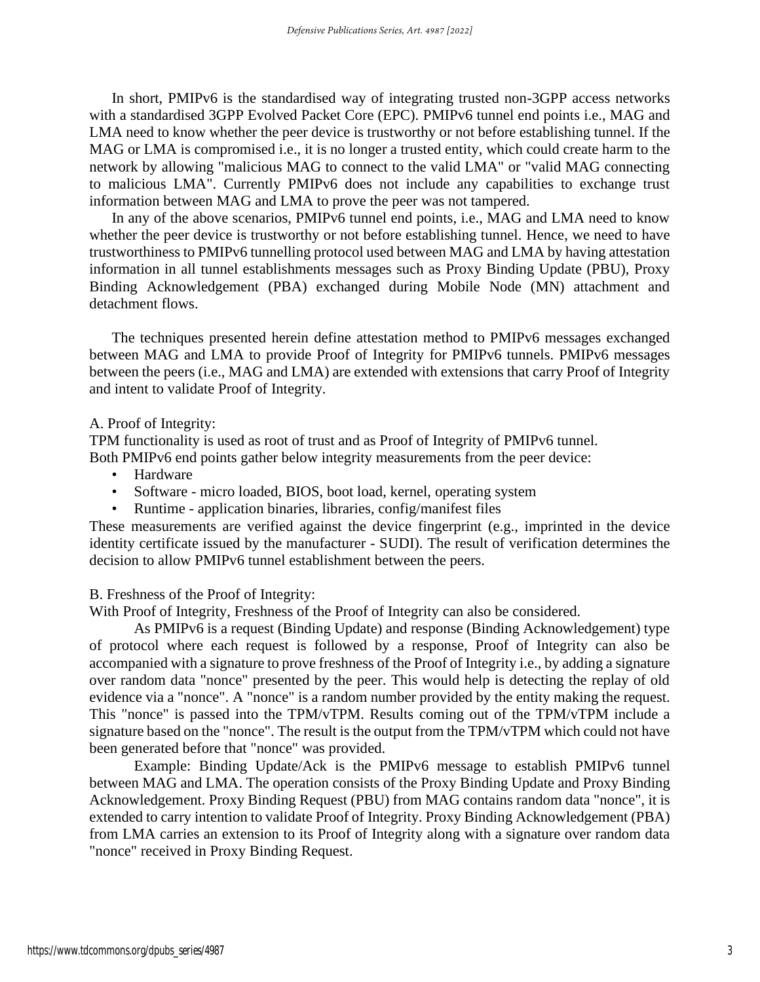In short, PMIPv6 is the standardised way of integrating trusted non-3GPP access networks with a standardised 3GPP Evolved Packet Core (EPC). PMIPv6 tunnel end points i.e., MAG and LMA need to know whether the peer device is trustworthy or not before establishing tunnel. If the MAG or LMA is compromised i.e., it is no longer a trusted entity, which could create harm to the network by allowing "malicious MAG to connect to the valid LMA" or "valid MAG connecting to malicious LMA". Currently PMIPv6 does not include any capabilities to exchange trust information between MAG and LMA to prove the peer was not tampered.

In any of the above scenarios, PMIPv6 tunnel end points, i.e., MAG and LMA need to know whether the peer device is trustworthy or not before establishing tunnel. Hence, we need to have trustworthiness to PMIPv6 tunnelling protocol used between MAG and LMA by having attestation information in all tunnel establishments messages such as Proxy Binding Update (PBU), Proxy Binding Acknowledgement (PBA) exchanged during Mobile Node (MN) attachment and detachment flows.

The techniques presented herein define attestation method to PMIPv6 messages exchanged between MAG and LMA to provide Proof of Integrity for PMIPv6 tunnels. PMIPv6 messages between the peers (i.e., MAG and LMA) are extended with extensions that carry Proof of Integrity and intent to validate Proof of Integrity.

#### A. Proof of Integrity:

TPM functionality is used as root of trust and as Proof of Integrity of PMIPv6 tunnel. Both PMIPv6 end points gather below integrity measurements from the peer device:

- Hardware
- Software micro loaded, BIOS, boot load, kernel, operating system
- Runtime application binaries, libraries, config/manifest files

These measurements are verified against the device fingerprint (e.g., imprinted in the device identity certificate issued by the manufacturer - SUDI). The result of verification determines the decision to allow PMIPv6 tunnel establishment between the peers.

B. Freshness of the Proof of Integrity:

With Proof of Integrity, Freshness of the Proof of Integrity can also be considered.

As PMIPv6 is a request (Binding Update) and response (Binding Acknowledgement) type of protocol where each request is followed by a response, Proof of Integrity can also be accompanied with a signature to prove freshness of the Proof of Integrity i.e., by adding a signature over random data "nonce" presented by the peer. This would help is detecting the replay of old evidence via a "nonce". A "nonce" is a random number provided by the entity making the request. This "nonce" is passed into the TPM/vTPM. Results coming out of the TPM/vTPM include a signature based on the "nonce". The result is the output from the TPM/vTPM which could not have been generated before that "nonce" was provided.

Example: Binding Update/Ack is the PMIPv6 message to establish PMIPv6 tunnel between MAG and LMA. The operation consists of the Proxy Binding Update and Proxy Binding Acknowledgement. Proxy Binding Request (PBU) from MAG contains random data "nonce", it is extended to carry intention to validate Proof of Integrity. Proxy Binding Acknowledgement (PBA) from LMA carries an extension to its Proof of Integrity along with a signature over random data "nonce" received in Proxy Binding Request.